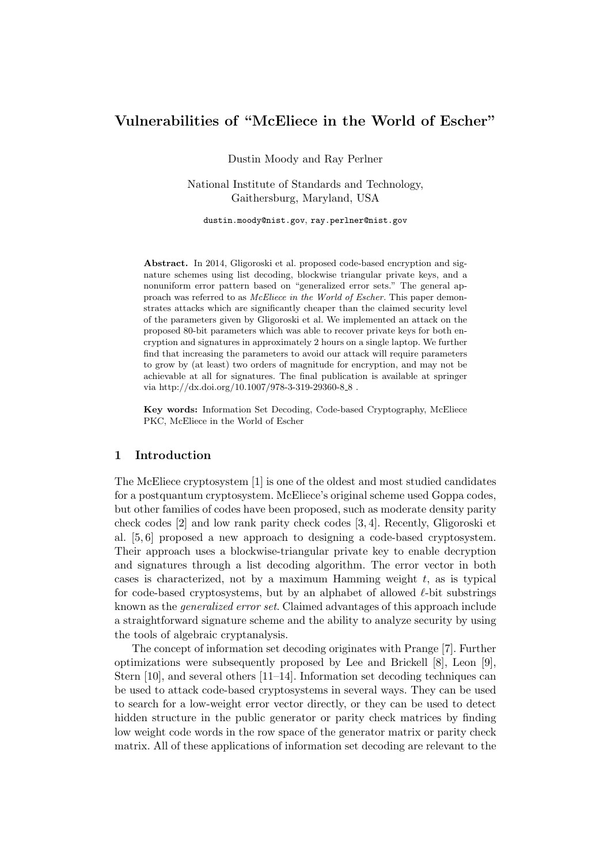# Vulnerabilities of "McEliece in the World of Escher"

Dustin Moody and Ray Perlner

National Institute of Standards and Technology, Gaithersburg, Maryland, USA

dustin.moody@nist.gov, ray.perlner@nist.gov

Abstract. In 2014, Gligoroski et al. proposed code-based encryption and signature schemes using list decoding, blockwise triangular private keys, and a nonuniform error pattern based on "generalized error sets." The general approach was referred to as McEliece in the World of Escher. This paper demonstrates attacks which are significantly cheaper than the claimed security level of the parameters given by Gligoroski et al. We implemented an attack on the proposed 80-bit parameters which was able to recover private keys for both encryption and signatures in approximately 2 hours on a single laptop. We further find that increasing the parameters to avoid our attack will require parameters to grow by (at least) two orders of magnitude for encryption, and may not be achievable at all for signatures. The final publication is available at springer via http://dx.doi.org/10.1007/978-3-319-29360-8 $\pm$  8 .

Key words: Information Set Decoding, Code-based Cryptography, McEliece PKC, McEliece in the World of Escher

# 1 Introduction

The McEliece cryptosystem [1] is one of the oldest and most studied candidates for a postquantum cryptosystem. McEliece's original scheme used Goppa codes, but other families of codes have been proposed, such as moderate density parity check codes [2] and low rank parity check codes [3, 4]. Recently, Gligoroski et al. [5, 6] proposed a new approach to designing a code-based cryptosystem. Their approach uses a blockwise-triangular private key to enable decryption and signatures through a list decoding algorithm. The error vector in both cases is characterized, not by a maximum Hamming weight t, as is typical for code-based cryptosystems, but by an alphabet of allowed  $\ell$ -bit substrings known as the generalized error set. Claimed advantages of this approach include a straightforward signature scheme and the ability to analyze security by using the tools of algebraic cryptanalysis.

The concept of information set decoding originates with Prange [7]. Further optimizations were subsequently proposed by Lee and Brickell [8], Leon [9], Stern  $[10]$ , and several others  $[11-14]$ . Information set decoding techniques can be used to attack code-based cryptosystems in several ways. They can be used to search for a low-weight error vector directly, or they can be used to detect hidden structure in the public generator or parity check matrices by finding low weight code words in the row space of the generator matrix or parity check matrix. All of these applications of information set decoding are relevant to the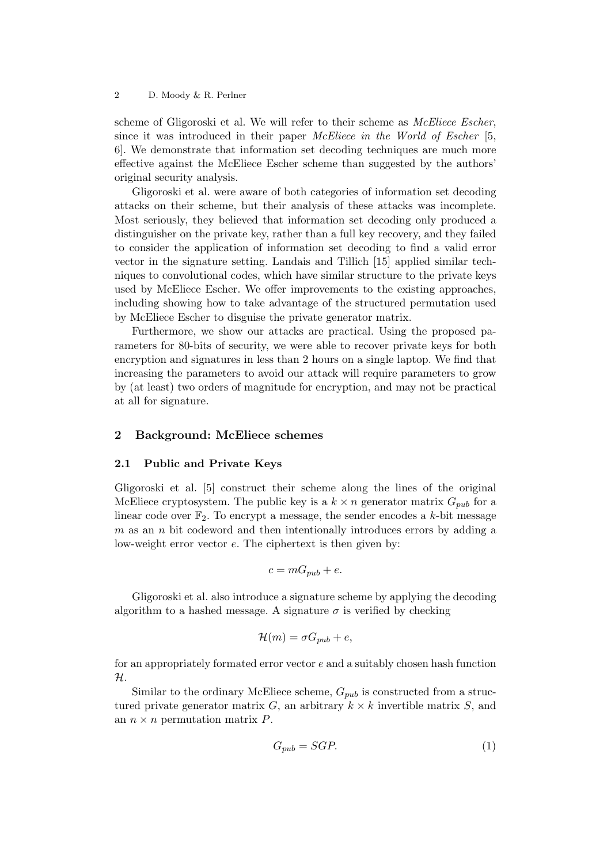scheme of Gligoroski et al. We will refer to their scheme as *McEliece Escher*, since it was introduced in their paper *McEliece in the World of Escher* [5, 6]. We demonstrate that information set decoding techniques are much more effective against the McEliece Escher scheme than suggested by the authors' original security analysis.

Gligoroski et al. were aware of both categories of information set decoding attacks on their scheme, but their analysis of these attacks was incomplete. Most seriously, they believed that information set decoding only produced a distinguisher on the private key, rather than a full key recovery, and they failed to consider the application of information set decoding to find a valid error vector in the signature setting. Landais and Tillich [15] applied similar techniques to convolutional codes, which have similar structure to the private keys used by McEliece Escher. We offer improvements to the existing approaches, including showing how to take advantage of the structured permutation used by McEliece Escher to disguise the private generator matrix.

Furthermore, we show our attacks are practical. Using the proposed parameters for 80-bits of security, we were able to recover private keys for both encryption and signatures in less than 2 hours on a single laptop. We find that increasing the parameters to avoid our attack will require parameters to grow by (at least) two orders of magnitude for encryption, and may not be practical at all for signature.

# 2 Background: McEliece schemes

### 2.1 Public and Private Keys

Gligoroski et al. [5] construct their scheme along the lines of the original McEliece cryptosystem. The public key is a  $k \times n$  generator matrix  $G_{pub}$  for a linear code over  $\mathbb{F}_2$ . To encrypt a message, the sender encodes a k-bit message  $m$  as an  $n$  bit codeword and then intentionally introduces errors by adding a low-weight error vector e. The ciphertext is then given by:

$$
c = mG_{pub} + e.
$$

Gligoroski et al. also introduce a signature scheme by applying the decoding algorithm to a hashed message. A signature  $\sigma$  is verified by checking

$$
\mathcal{H}(m) = \sigma G_{pub} + e,
$$

for an appropriately formated error vector e and a suitably chosen hash function  $\mathcal{H}.$ 

Similar to the ordinary McEliece scheme,  $G_{pub}$  is constructed from a structured private generator matrix  $G$ , an arbitrary  $k \times k$  invertible matrix  $S$ , and an  $n \times n$  permutation matrix  $P$ .

$$
G_{pub} = SGP.
$$
 (1)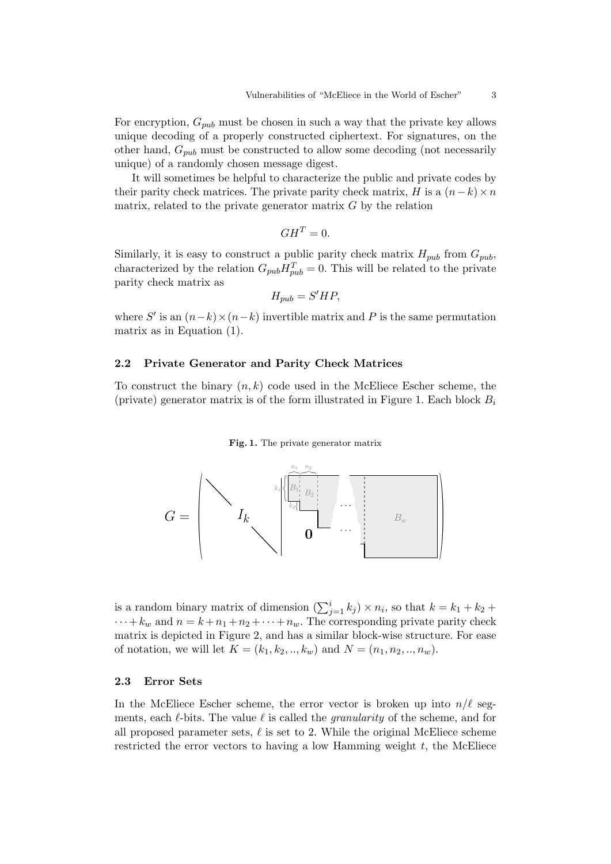For encryption,  $G_{pub}$  must be chosen in such a way that the private key allows unique decoding of a properly constructed ciphertext. For signatures, on the other hand,  $G_{pub}$  must be constructed to allow some decoding (not necessarily unique) of a randomly chosen message digest.

It will sometimes be helpful to characterize the public and private codes by their parity check matrices. The private parity check matrix, H is a  $(n-k) \times n$ matrix, related to the private generator matrix  $G$  by the relation

$$
GH^T=0.
$$

Similarly, it is easy to construct a public parity check matrix  $H_{pub}$  from  $G_{pub}$ , characterized by the relation  $G_{pub}H_{pub}^T = 0$ . This will be related to the private parity check matrix as

$$
H_{pub} = S' H P,
$$

where  $S'$  is an  $(n-k) \times (n-k)$  invertible matrix and P is the same permutation matrix as in Equation (1).

### 2.2 Private Generator and Parity Check Matrices

To construct the binary  $(n, k)$  code used in the McEliece Escher scheme, the (private) generator matrix is of the form illustrated in Figure 1. Each block  $B_i$ 

#### Fig. 1. The private generator matrix



is a random binary matrix of dimension  $(\sum_{j=1}^{i} k_j) \times n_i$ , so that  $k = k_1 + k_2 + \dots$  $\cdots + k_w$  and  $n = k + n_1 + n_2 + \cdots + n_w$ . The corresponding private parity check matrix is depicted in Figure 2, and has a similar block-wise structure. For ease of notation, we will let  $K = (k_1, k_2, ..., k_w)$  and  $N = (n_1, n_2, ..., n_w)$ .

#### 2.3 Error Sets

In the McEliece Escher scheme, the error vector is broken up into  $n/\ell$  segments, each  $\ell$ -bits. The value  $\ell$  is called the *granularity* of the scheme, and for all proposed parameter sets,  $\ell$  is set to 2. While the original McEliece scheme restricted the error vectors to having a low Hamming weight  $t$ , the McEliece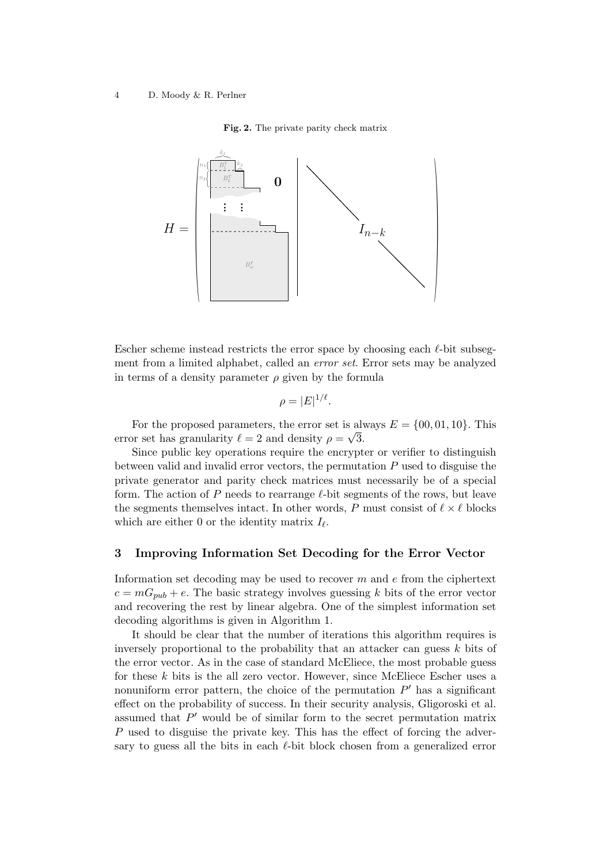### Fig. 2. The private parity check matrix



Escher scheme instead restricts the error space by choosing each  $\ell$ -bit subsegment from a limited alphabet, called an *error set*. Error sets may be analyzed in terms of a density parameter  $\rho$  given by the formula

$$
\rho=|E|^{1/\ell}.
$$

For the proposed parameters, the error set is always  $E = \{00, 01, 10\}$ . This error set has granularity  $\ell = 2$  and density  $\rho = \sqrt{3}$ .

Since public key operations require the encrypter or verifier to distinguish between valid and invalid error vectors, the permutation P used to disguise the private generator and parity check matrices must necessarily be of a special form. The action of P needs to rearrange  $\ell$ -bit segments of the rows, but leave the segments themselves intact. In other words, P must consist of  $\ell \times \ell$  blocks which are either 0 or the identity matrix  $I_{\ell}$ .

### 3 Improving Information Set Decoding for the Error Vector

Information set decoding may be used to recover  $m$  and  $e$  from the ciphertext  $c = mG_{pub} + e$ . The basic strategy involves guessing k bits of the error vector and recovering the rest by linear algebra. One of the simplest information set decoding algorithms is given in Algorithm 1.

It should be clear that the number of iterations this algorithm requires is inversely proportional to the probability that an attacker can guess k bits of the error vector. As in the case of standard McEliece, the most probable guess for these k bits is the all zero vector. However, since McEliece Escher uses a nonuniform error pattern, the choice of the permutation  $P'$  has a significant effect on the probability of success. In their security analysis, Gligoroski et al. assumed that  $P'$  would be of similar form to the secret permutation matrix P used to disguise the private key. This has the effect of forcing the adversary to guess all the bits in each  $\ell$ -bit block chosen from a generalized error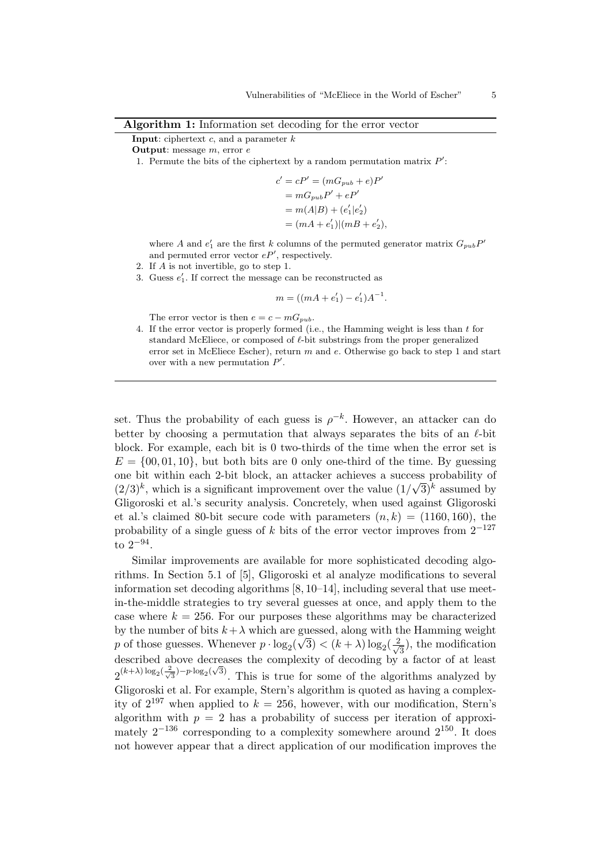| Algorithm 1: Information set decoding for the error vector |  |  |
|------------------------------------------------------------|--|--|
|------------------------------------------------------------|--|--|

### **Input:** ciphertext  $c$ , and a parameter  $k$

Output: message m, error e

1. Permute the bits of the ciphertext by a random permutation matrix  $P'$ :

$$
c' = cP' = (mG_{pub} + e)P'
$$
  
=  $mG_{pub}P' + eP'$   
=  $m(A|B) + (e'_1|e'_2)$   
=  $(mA + e'_1)|(mB + e'_2),$ 

where A and  $e'_1$  are the first k columns of the permuted generator matrix  $G_{pub}P'$ and permuted error vector  $eP'$ , respectively.

- 2. If A is not invertible, go to step 1.
- 3. Guess  $e'_1$ . If correct the message can be reconstructed as

$$
m = ((mA + e_1') - e_1')A^{-1}.
$$

The error vector is then  $e = c - mG_{pub}$ .

4. If the error vector is properly formed (i.e., the Hamming weight is less than t for standard McEliece, or composed of  $\ell$ -bit substrings from the proper generalized error set in McEliece Escher), return m and e. Otherwise go back to step 1 and start over with a new permutation  $P'$ .

set. Thus the probability of each guess is  $\rho^{-k}$ . However, an attacker can do better by choosing a permutation that always separates the bits of an  $\ell$ -bit block. For example, each bit is 0 two-thirds of the time when the error set is  $E = \{00, 01, 10\}$ , but both bits are 0 only one-third of the time. By guessing one bit within each 2-bit block, an attacker achieves a success probability of  $(2/3)^k$ , which is a significant improvement over the value  $(1/\sqrt{3})^k$  assumed by Gligoroski et al.'s security analysis. Concretely, when used against Gligoroski et al.'s claimed 80-bit secure code with parameters  $(n, k) = (1160, 160)$ , the probability of a single guess of k bits of the error vector improves from  $2^{-127}$ to 2−<sup>94</sup> .

Similar improvements are available for more sophisticated decoding algorithms. In Section 5.1 of [5], Gligoroski et al analyze modifications to several information set decoding algorithms [8, 10–14], including several that use meetin-the-middle strategies to try several guesses at once, and apply them to the case where  $k = 256$ . For our purposes these algorithms may be characterized by the number of bits  $k+\lambda$  which are guessed, along with the Hamming weight p of those guesses. Whenever  $p \cdot \log_2(\sqrt{3}) < (k + \lambda) \log_2(\frac{2}{\sqrt{3}})$  $(\frac{2}{3})$ , the modification described above decreases the complexity of decoding by a factor of at least  $2^{(k+\lambda)\log_2(\frac{2}{\sqrt{3}})-p\cdot \log_2(\sqrt{3})}$ . This is true for some of the algorithms analyzed by Gligoroski et al. For example, Stern's algorithm is quoted as having a complexity of  $2^{197}$  when applied to  $k = 256$ , however, with our modification, Stern's algorithm with  $p = 2$  has a probability of success per iteration of approximately  $2^{-136}$  corresponding to a complexity somewhere around  $2^{150}$ . It does not however appear that a direct application of our modification improves the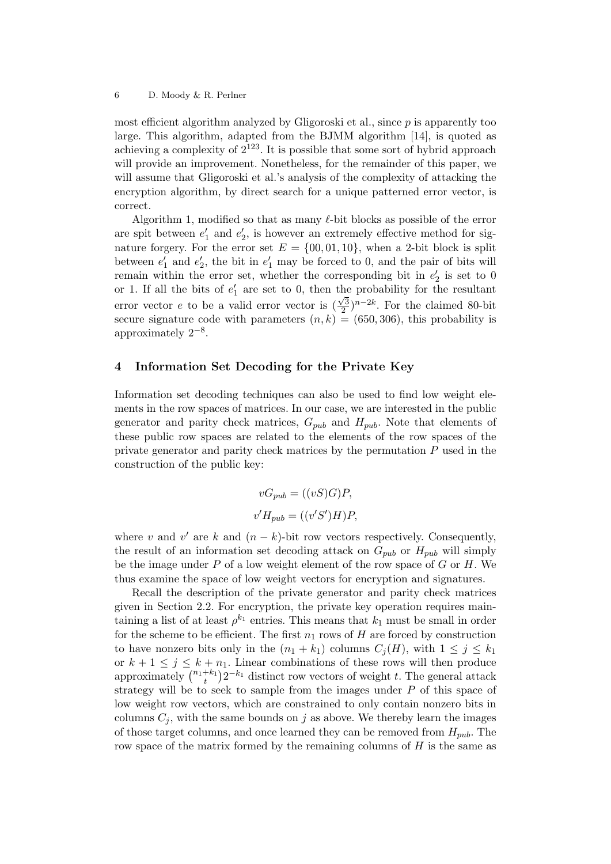most efficient algorithm analyzed by Gligoroski et al., since  $p$  is apparently too large. This algorithm, adapted from the BJMM algorithm [14], is quoted as achieving a complexity of  $2^{123}$ . It is possible that some sort of hybrid approach will provide an improvement. Nonetheless, for the remainder of this paper, we will assume that Gligoroski et al.'s analysis of the complexity of attacking the encryption algorithm, by direct search for a unique patterned error vector, is correct.

Algorithm 1, modified so that as many  $\ell$ -bit blocks as possible of the error are spit between  $e'_1$  and  $e'_2$ , is however an extremely effective method for signature forgery. For the error set  $E = \{00, 01, 10\}$ , when a 2-bit block is split between  $e'_1$  and  $e'_2$ , the bit in  $e'_1$  may be forced to 0, and the pair of bits will remain within the error set, whether the corresponding bit in  $e'_2$  is set to 0 or 1. If all the bits of  $e'_1$  are set to 0, then the probability for the resultant error vector e to be a valid error vector is  $\left(\frac{\sqrt{3}}{2}\right)$  $\frac{\sqrt{3}}{2}$ )<sup>n-2k</sup>. For the claimed 80-bit secure signature code with parameters  $(n, k) = (650, 306)$ , this probability is approximately  $2^{-8}$ .

# 4 Information Set Decoding for the Private Key

Information set decoding techniques can also be used to find low weight elements in the row spaces of matrices. In our case, we are interested in the public generator and parity check matrices,  $G_{pub}$  and  $H_{pub}$ . Note that elements of these public row spaces are related to the elements of the row spaces of the private generator and parity check matrices by the permutation P used in the construction of the public key:

$$
vG_{pub} = ((vS)G)P,
$$
  

$$
v'H_{pub} = ((v'S')H)P,
$$

where v and  $v'$  are k and  $(n - k)$ -bit row vectors respectively. Consequently, the result of an information set decoding attack on  $G_{pub}$  or  $H_{pub}$  will simply be the image under  $P$  of a low weight element of the row space of  $G$  or  $H$ . We thus examine the space of low weight vectors for encryption and signatures.

Recall the description of the private generator and parity check matrices given in Section 2.2. For encryption, the private key operation requires maintaining a list of at least  $\rho^{k_1}$  entries. This means that  $k_1$  must be small in order for the scheme to be efficient. The first  $n_1$  rows of H are forced by construction to have nonzero bits only in the  $(n_1 + k_1)$  columns  $C_i(H)$ , with  $1 \leq j \leq k_1$ or  $k + 1 \leq j \leq k + n_1$ . Linear combinations of these rows will then produce approximately  $\binom{n_1+k_1}{k}$  $(t_t^{+k_1})2^{-k_1}$  distinct row vectors of weight t. The general attack strategy will be to seek to sample from the images under  $P$  of this space of low weight row vectors, which are constrained to only contain nonzero bits in columns  $C_i$ , with the same bounds on j as above. We thereby learn the images of those target columns, and once learned they can be removed from  $H_{pub}$ . The row space of the matrix formed by the remaining columns of  $H$  is the same as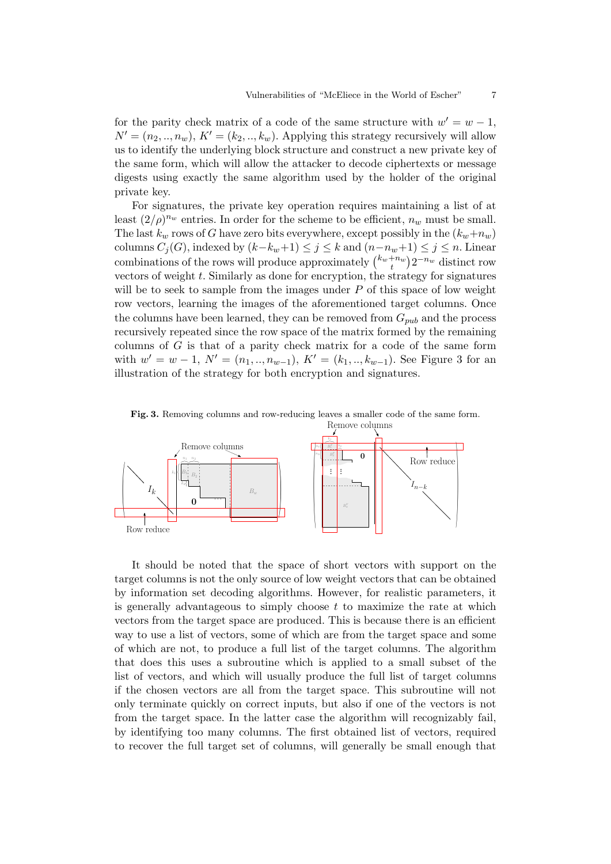for the parity check matrix of a code of the same structure with  $w' = w - 1$ ,  $N' = (n_2, ..., n_w), K' = (k_2, ..., k_w).$  Applying this strategy recursively will allow us to identify the underlying block structure and construct a new private key of the same form, which will allow the attacker to decode ciphertexts or message digests using exactly the same algorithm used by the holder of the original private key.

For signatures, the private key operation requires maintaining a list of at least  $(2/\rho)^{n_w}$  entries. In order for the scheme to be efficient,  $n_w$  must be small. The last  $k_w$  rows of G have zero bits everywhere, except possibly in the  $(k_w+n_w)$ columns  $C_j(G)$ , indexed by  $(k-k_w+1) \leq j \leq k$  and  $(n-n_w+1) \leq j \leq n$ . Linear combinations of the rows will produce approximately  $\binom{k_w+n_w}{t}$  $t^{+n_w}_{t}$ ) $2^{-n_w}$  distinct row vectors of weight  $t$ . Similarly as done for encryption, the strategy for signatures will be to seek to sample from the images under  $P$  of this space of low weight row vectors, learning the images of the aforementioned target columns. Once the columns have been learned, they can be removed from  $G_{pub}$  and the process recursively repeated since the row space of the matrix formed by the remaining columns of  $G$  is that of a parity check matrix for a code of the same form with  $w' = w - 1$ ,  $N' = (n_1, ..., n_{w-1})$ ,  $K' = (k_1, ..., k_{w-1})$ . See Figure 3 for an illustration of the strategy for both encryption and signatures.



Fig. 3. Removing columns and row-reducing leaves a smaller code of the same form.

It should be noted that the space of short vectors with support on the target columns is not the only source of low weight vectors that can be obtained by information set decoding algorithms. However, for realistic parameters, it is generally advantageous to simply choose  $t$  to maximize the rate at which vectors from the target space are produced. This is because there is an efficient way to use a list of vectors, some of which are from the target space and some of which are not, to produce a full list of the target columns. The algorithm that does this uses a subroutine which is applied to a small subset of the list of vectors, and which will usually produce the full list of target columns if the chosen vectors are all from the target space. This subroutine will not only terminate quickly on correct inputs, but also if one of the vectors is not from the target space. In the latter case the algorithm will recognizably fail, by identifying too many columns. The first obtained list of vectors, required to recover the full target set of columns, will generally be small enough that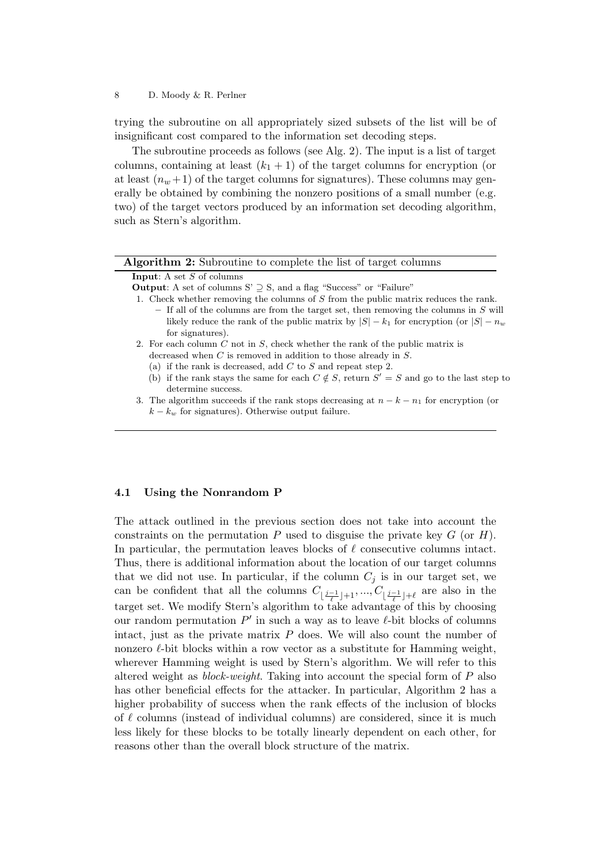trying the subroutine on all appropriately sized subsets of the list will be of insignificant cost compared to the information set decoding steps.

The subroutine proceeds as follows (see Alg. 2). The input is a list of target columns, containing at least  $(k_1 + 1)$  of the target columns for encryption (or at least  $(n_w + 1)$  of the target columns for signatures). These columns may generally be obtained by combining the nonzero positions of a small number (e.g. two) of the target vectors produced by an information set decoding algorithm, such as Stern's algorithm.

| <b>Algorithm 2:</b> Subroutine to complete the list of target columns                                                      |
|----------------------------------------------------------------------------------------------------------------------------|
| <b>Input:</b> A set $S$ of columns                                                                                         |
| <b>Output:</b> A set of columns S' $\supseteq$ S, and a flag "Success" or "Failure"                                        |
| 1. Check whether removing the columns of S from the public matrix reduces the rank.                                        |
| $-$ If all of the columns are from the target set, then removing the columns in S will                                     |
| likely reduce the rank of the public matrix by $ S  - k_1$ for encryption (or $ S  - n_w$                                  |
| for signatures).                                                                                                           |
| 2. For each column C not in S, check whether the rank of the public matrix is                                              |
| decreased when $C$ is removed in addition to those already in $S$ .                                                        |
| (a) if the rank is decreased, add $C$ to $S$ and repeat step 2.                                                            |
| if the rank stays the same for each $C \notin S$ , return $S' = S$ and go to the last step to<br>(b)<br>determine success. |
| 3. The algorithm succeeds if the rank stops decreasing at $n - k - n_1$ for encryption (or                                 |
| $k - k_w$ for signatures). Otherwise output failure.                                                                       |
|                                                                                                                            |

# 4.1 Using the Nonrandom P

The attack outlined in the previous section does not take into account the constraints on the permutation P used to disguise the private key  $G$  (or  $H$ ). In particular, the permutation leaves blocks of  $\ell$  consecutive columns intact. Thus, there is additional information about the location of our target columns that we did not use. In particular, if the column  $C_j$  is in our target set, we can be confident that all the columns  $C_{\lfloor \frac{j-1}{\ell} \rfloor+1},..., C_{\lfloor \frac{j-1}{\ell} \rfloor+\ell}$  are also in the target set. We modify Stern's algorithm to take advantage of this by choosing our random permutation  $P'$  in such a way as to leave  $\ell$ -bit blocks of columns intact, just as the private matrix  $P$  does. We will also count the number of nonzero  $\ell$ -bit blocks within a row vector as a substitute for Hamming weight, wherever Hamming weight is used by Stern's algorithm. We will refer to this altered weight as *block-weight*. Taking into account the special form of  $P$  also has other beneficial effects for the attacker. In particular, Algorithm 2 has a higher probability of success when the rank effects of the inclusion of blocks of  $\ell$  columns (instead of individual columns) are considered, since it is much less likely for these blocks to be totally linearly dependent on each other, for reasons other than the overall block structure of the matrix.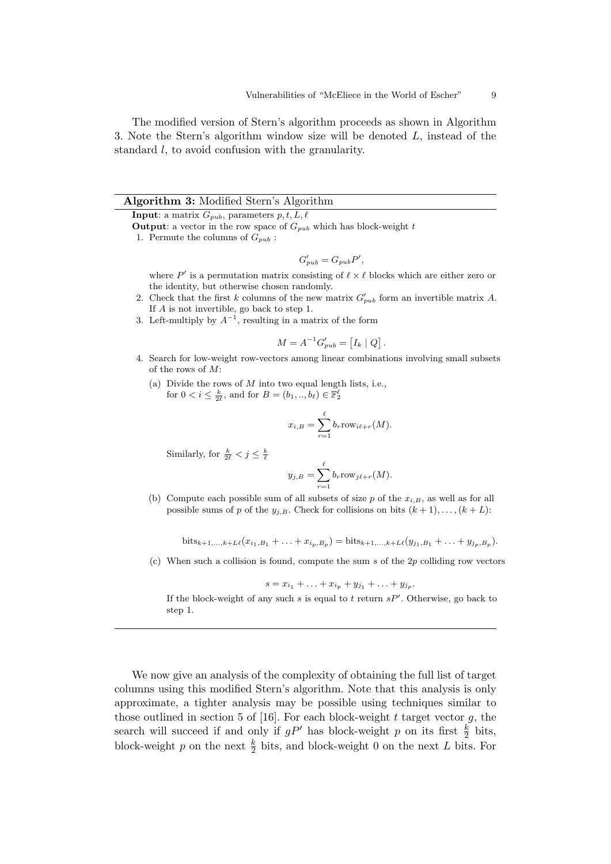The modified version of Stern's algorithm proceeds as shown in Algorithm 3. Note the Stern's algorithm window size will be denoted L, instead of the standard l, to avoid confusion with the granularity.

### Algorithm 3: Modified Stern's Algorithm

**Input:** a matrix  $G_{pub}$ , parameters  $p, t, L, \ell$ 

**Output:** a vector in the row space of  $G_{pub}$  which has block-weight t

1. Permute the columns of  $G_{pub}$ :

$$
G'_{pub} = G_{pub}P',
$$

where P' is a permutation matrix consisting of  $\ell \times \ell$  blocks which are either zero or the identity, but otherwise chosen randomly.

- 2. Check that the first k columns of the new matrix  $G'_{pub}$  form an invertible matrix A. If A is not invertible, go back to step 1.
- 3. Left-multiply by  $A^{-1}$ , resulting in a matrix of the form

$$
M = A^{-1} G'_{pub} = [I_k | Q].
$$

- 4. Search for low-weight row-vectors among linear combinations involving small subsets of the rows of  $M$ .
	- (a) Divide the rows of  $M$  into two equal length lists, i.e., for  $0 < i \leq \frac{k}{2\ell}$ , and for  $B = (b_1, ..., b_\ell) \in \mathbb{F}_2^{\ell}$

$$
x_{i,B} = \sum_{r=1}^{\ell} b_r \text{row}_{i\ell+r}(M).
$$

Similarly, for  $\frac{k}{2\ell} < j \leq \frac{k}{\ell}$ 

$$
y_{j,B} = \sum_{r=1}^{\ell} b_r \text{row}_{j\ell+r}(M).
$$

(b) Compute each possible sum of all subsets of size p of the  $x_{i,B}$ , as well as for all possible sums of p of the  $y_{j,B}$ . Check for collisions on bits  $(k + 1), \ldots, (k + L)$ :

 $\text{bits}_{k+1,\dots,k+L\ell}(x_{i_1,B_1} + \dots + x_{i_p,B_p}) = \text{bits}_{k+1,\dots,k+L\ell}(y_{j_1,B_1} + \dots + y_{j_p,B_p}).$ 

(c) When such a collision is found, compute the sum s of the  $2p$  colliding row vectors

$$
s = x_{i_1} + \ldots + x_{i_p} + y_{j_1} + \ldots + y_{j_p}.
$$

If the block-weight of any such  $s$  is equal to  $t$  return  $sP'$ . Otherwise, go back to step 1.

We now give an analysis of the complexity of obtaining the full list of target columns using this modified Stern's algorithm. Note that this analysis is only approximate, a tighter analysis may be possible using techniques similar to those outlined in section 5 of [16]. For each block-weight t target vector  $g$ , the search will succeed if and only if  $gP'$  has block-weight p on its first  $\frac{k}{2}$  bits, block-weight p on the next  $\frac{k}{2}$  bits, and block-weight 0 on the next L bits. For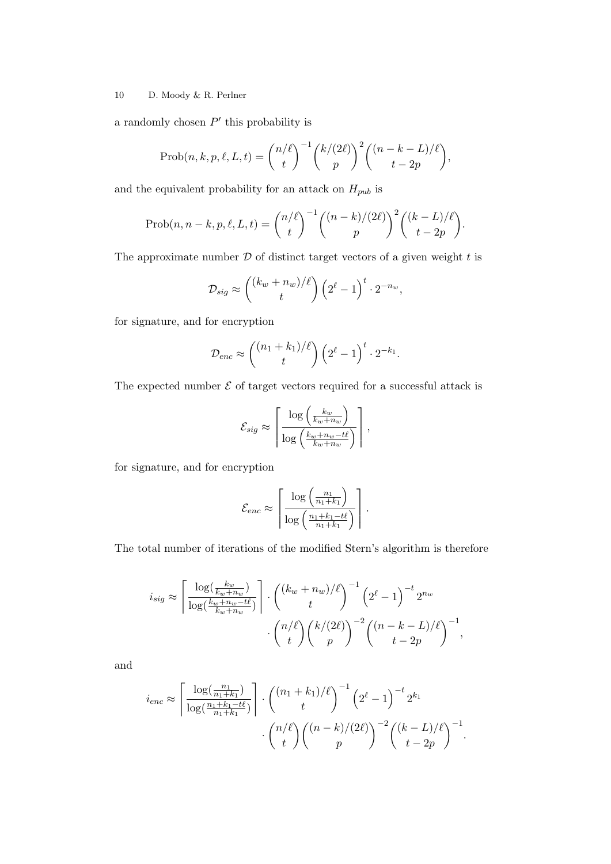a randomly chosen  $P'$  this probability is

$$
\text{Prob}(n, k, p, \ell, L, t) = {n/\ell \choose t}^{-1} {k/(2\ell) \choose p}^2 {n-k - L)/\ell \choose t - 2p},
$$

and the equivalent probability for an attack on  ${\cal H}_{pub}$  is

$$
\text{Prob}(n, n-k, p, \ell, L, t) = \binom{n/\ell}{t}^{-1} \binom{(n-k)/(2\ell)}{p}^2 \binom{(k-L)/\ell}{t-2p}.
$$

The approximate number  $D$  of distinct target vectors of a given weight  $t$  is

$$
\mathcal{D}_{sig} \approx \binom{(k_w + n_w)/\ell}{t} \left(2^{\ell} - 1\right)^t \cdot 2^{-n_w},
$$

for signature, and for encryption

$$
\mathcal{D}_{enc} \approx \binom{(n_1+k_1)/\ell}{t} \left(2^{\ell}-1\right)^t \cdot 2^{-k_1}.
$$

The expected number  $\mathcal E$  of target vectors required for a successful attack is

$$
\mathcal{E}_{sig} \approx \left\lceil \frac{\log \left( \frac{k_w}{k_w + n_w} \right)}{\log \left( \frac{k_w + n_w - t\ell}{k_w + n_w} \right)} \right\rceil,
$$

for signature, and for encryption

$$
\mathcal{E}_{enc} \approx \left\lceil \frac{\log \left( \frac{n_1}{n_1 + k_1} \right)}{\log \left( \frac{n_1 + k_1 - t\ell}{n_1 + k_1} \right)} \right\rceil.
$$

The total number of iterations of the modified Stern's algorithm is therefore

$$
i_{sig} \approx \left\lceil \frac{\log(\frac{k_w}{k_w + n_w})}{\log(\frac{k_w + n_w - t\ell}{k_w + n_w})} \right\rceil \cdot \binom{(k_w + n_w)/\ell}{t}^{-1} \left(2^{\ell} - 1\right)^{-t} 2^{n_w}
$$

$$
\cdot \binom{n/\ell}{t} \binom{k/(2\ell)}{p}^{-2} \binom{(n-k-L)/\ell}{t-2p}^{-1},
$$

and

$$
i_{enc} \approx \left\lceil \frac{\log(\frac{n_1}{n_1 + k_1})}{\log(\frac{n_1 + k_1 - t\ell}{n_1 + k_1})} \right\rceil \cdot \binom{(n_1 + k_1)/\ell}{t}^{-1} (2^{\ell} - 1)^{-t} 2^{k_1} \cdot \binom{n/\ell}{t} \binom{(n - k)/(2\ell)}{p}^{-2} \binom{(k - L)/\ell}{t - 2p}^{-1}.
$$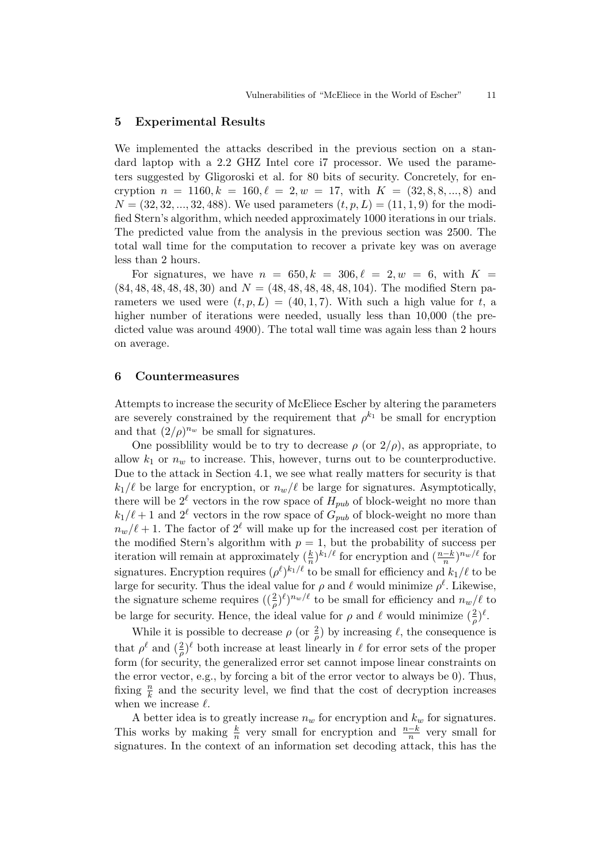# 5 Experimental Results

We implemented the attacks described in the previous section on a standard laptop with a 2.2 GHZ Intel core i7 processor. We used the parameters suggested by Gligoroski et al. for 80 bits of security. Concretely, for encryption  $n = 1160, k = 160, \ell = 2, w = 17$ , with  $K = (32, 8, 8, ..., 8)$  and  $N = (32, 32, ..., 32, 488)$ . We used parameters  $(t, p, L) = (11, 1, 9)$  for the modified Stern's algorithm, which needed approximately 1000 iterations in our trials. The predicted value from the analysis in the previous section was 2500. The total wall time for the computation to recover a private key was on average less than 2 hours.

For signatures, we have  $n = 650, k = 306, \ell = 2, w = 6$ , with  $K =$  $(84, 48, 48, 48, 48, 30)$  and  $N = (48, 48, 48, 48, 48, 104)$ . The modified Stern parameters we used were  $(t, p, L) = (40, 1, 7)$ . With such a high value for t, a higher number of iterations were needed, usually less than 10,000 (the predicted value was around 4900). The total wall time was again less than 2 hours on average.

### 6 Countermeasures

Attempts to increase the security of McEliece Escher by altering the parameters are severely constrained by the requirement that  $\rho^{k_1}$  be small for encryption and that  $(2/\rho)^{n_w}$  be small for signatures.

One possibility would be to try to decrease  $\rho$  (or  $2/\rho$ ), as appropriate, to allow  $k_1$  or  $n_w$  to increase. This, however, turns out to be counterproductive. Due to the attack in Section 4.1, we see what really matters for security is that  $k_1/\ell$  be large for encryption, or  $n_w/\ell$  be large for signatures. Asymptotically, there will be  $2^{\ell}$  vectors in the row space of  $H_{pub}$  of block-weight no more than  $k_1/\ell + 1$  and  $2^{\ell}$  vectors in the row space of  $G_{pub}$  of block-weight no more than  $n_w/\ell + 1$ . The factor of  $2^{\ell}$  will make up for the increased cost per iteration of the modified Stern's algorithm with  $p = 1$ , but the probability of success per iteration will remain at approximately  $(\frac{k}{n})^{k_1/\ell}$  for encryption and  $(\frac{n-k}{n})^{n_w/\ell}$  for signatures. Encryption requires  $(\rho^{\ell})^{k_1/\ell}$  to be small for efficiency and  $k_1/\ell$  to be large for security. Thus the ideal value for  $\rho$  and  $\ell$  would minimize  $\rho^{\ell}$ . Likewise, the signature scheme requires  $(\frac{2}{\rho})^{\ell}$  $)^{n_w/\ell}$  to be small for efficiency and  $n_w/\ell$  to be large for security. Hence, the ideal value for  $\rho$  and  $\ell$  would minimize  $(\frac{2}{\rho})^{\ell}$ .

While it is possible to decrease  $\rho$  (or  $\frac{2}{\rho}$ ) by increasing  $\ell$ , the consequence is that  $\rho^{\ell}$  and  $(\frac{2}{\rho})^{\ell}$  both increase at least linearly in  $\ell$  for error sets of the proper form (for security, the generalized error set cannot impose linear constraints on the error vector, e.g., by forcing a bit of the error vector to always be 0). Thus, fixing  $\frac{n}{k}$  and the security level, we find that the cost of decryption increases when we increase  $\ell$ .

A better idea is to greatly increase  $n_w$  for encryption and  $k_w$  for signatures. This works by making  $\frac{k}{n}$  very small for encryption and  $\frac{n-k}{n}$  very small for signatures. In the context of an information set decoding attack, this has the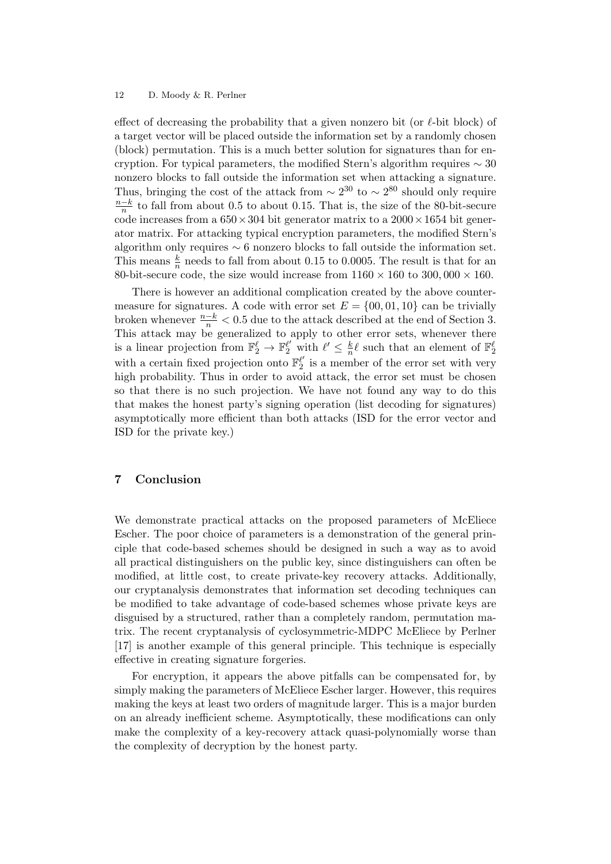effect of decreasing the probability that a given nonzero bit (or  $\ell$ -bit block) of a target vector will be placed outside the information set by a randomly chosen (block) permutation. This is a much better solution for signatures than for encryption. For typical parameters, the modified Stern's algorithm requires  $\sim$  30 nonzero blocks to fall outside the information set when attacking a signature. Thus, bringing the cost of the attack from  $\sim 2^{30}$  to  $\sim 2^{80}$  should only require  $\frac{n-k}{k}$  $\frac{-k}{n}$  to fall from about 0.5 to about 0.15. That is, the size of the 80-bit-secure code increases from a  $650 \times 304$  bit generator matrix to a  $2000 \times 1654$  bit generator matrix. For attacking typical encryption parameters, the modified Stern's algorithm only requires  $\sim 6$  nonzero blocks to fall outside the information set. This means  $\frac{k}{n}$  needs to fall from about 0.15 to 0.0005. The result is that for an 80-bit-secure code, the size would increase from  $1160 \times 160$  to  $300,000 \times 160$ .

There is however an additional complication created by the above countermeasure for signatures. A code with error set  $E = \{00, 01, 10\}$  can be trivially broken whenever  $\frac{n-k}{n} < 0.5$  due to the attack described at the end of Section 3. This attack may be generalized to apply to other error sets, whenever there is a linear projection from  $\mathbb{F}_2^{\ell} \to \mathbb{F}_2^{\ell'}$  with  $\ell' \leq \frac{k}{n}$  $\frac{k}{n}\ell$  such that an element of  $\mathbb{F}_2^{\ell}$ with a certain fixed projection onto  $\mathbb{F}_2^{\ell'}$  $\frac{\ell'}{2}$  is a member of the error set with very high probability. Thus in order to avoid attack, the error set must be chosen so that there is no such projection. We have not found any way to do this that makes the honest party's signing operation (list decoding for signatures) asymptotically more efficient than both attacks (ISD for the error vector and ISD for the private key.)

# 7 Conclusion

We demonstrate practical attacks on the proposed parameters of McEliece Escher. The poor choice of parameters is a demonstration of the general principle that code-based schemes should be designed in such a way as to avoid all practical distinguishers on the public key, since distinguishers can often be modified, at little cost, to create private-key recovery attacks. Additionally, our cryptanalysis demonstrates that information set decoding techniques can be modified to take advantage of code-based schemes whose private keys are disguised by a structured, rather than a completely random, permutation matrix. The recent cryptanalysis of cyclosymmetric-MDPC McEliece by Perlner [17] is another example of this general principle. This technique is especially effective in creating signature forgeries.

For encryption, it appears the above pitfalls can be compensated for, by simply making the parameters of McEliece Escher larger. However, this requires making the keys at least two orders of magnitude larger. This is a major burden on an already inefficient scheme. Asymptotically, these modifications can only make the complexity of a key-recovery attack quasi-polynomially worse than the complexity of decryption by the honest party.